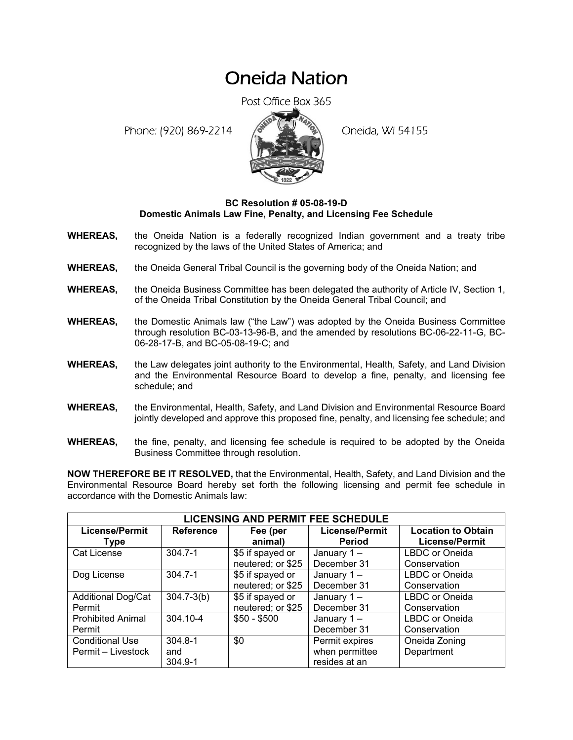## Oneida Nation

Post Office Box 365

Phone: (920) 869-2214 (8 April 194155)



## **BC Resolution # 05-08-19-D Domestic Animals Law Fine, Penalty, and Licensing Fee Schedule**

- **WHEREAS,** the Oneida Nation is a federally recognized Indian government and a treaty tribe recognized by the laws of the United States of America; and
- **WHEREAS,** the Oneida General Tribal Council is the governing body of the Oneida Nation; and
- **WHEREAS,** the Oneida Business Committee has been delegated the authority of Article IV, Section 1, of the Oneida Tribal Constitution by the Oneida General Tribal Council; and
- **WHEREAS,** the Domestic Animals law ("the Law") was adopted by the Oneida Business Committee through resolution BC-03-13-96-B, and the amended by resolutions BC-06-22-11-G, BC-06-28-17-B, and BC-05-08-19-C; and
- **WHEREAS,** the Law delegates joint authority to the Environmental, Health, Safety, and Land Division and the Environmental Resource Board to develop a fine, penalty, and licensing fee schedule; and
- **WHEREAS,** the Environmental, Health, Safety, and Land Division and Environmental Resource Board jointly developed and approve this proposed fine, penalty, and licensing fee schedule; and
- **WHEREAS,** the fine, penalty, and licensing fee schedule is required to be adopted by the Oneida Business Committee through resolution.

**NOW THEREFORE BE IT RESOLVED,** that the Environmental, Health, Safety, and Land Division and the Environmental Resource Board hereby set forth the following licensing and permit fee schedule in accordance with the Domestic Animals law:

| <b>LICENSING AND PERMIT FEE SCHEDULE</b> |                  |                   |                       |                           |  |  |  |
|------------------------------------------|------------------|-------------------|-----------------------|---------------------------|--|--|--|
| <b>License/Permit</b>                    | <b>Reference</b> | Fee (per          | <b>License/Permit</b> | <b>Location to Obtain</b> |  |  |  |
| <b>Type</b>                              |                  | animal)           | <b>Period</b>         | <b>License/Permit</b>     |  |  |  |
| <b>Cat License</b>                       | $304.7 - 1$      | \$5 if spayed or  | January 1-            | LBDC or Oneida            |  |  |  |
|                                          |                  | neutered; or \$25 | December 31           | Conservation              |  |  |  |
| Dog License                              | $304.7 - 1$      | \$5 if spayed or  | January 1-            | LBDC or Oneida            |  |  |  |
|                                          |                  | neutered; or \$25 | December 31           | Conservation              |  |  |  |
| <b>Additional Dog/Cat</b>                | $304.7 - 3(b)$   | \$5 if spayed or  | January 1-            | LBDC or Oneida            |  |  |  |
| Permit                                   |                  | neutered; or \$25 | December 31           | Conservation              |  |  |  |
| <b>Prohibited Animal</b>                 | 304.10-4         | $$50 - $500$      | January 1-            | LBDC or Oneida            |  |  |  |
| Permit                                   |                  |                   | December 31           | Conservation              |  |  |  |
| <b>Conditional Use</b>                   | $304.8 - 1$      | \$0               | Permit expires        | Oneida Zoning             |  |  |  |
| Permit - Livestock                       | and              |                   | when permittee        | Department                |  |  |  |
|                                          | $304.9 - 1$      |                   | resides at an         |                           |  |  |  |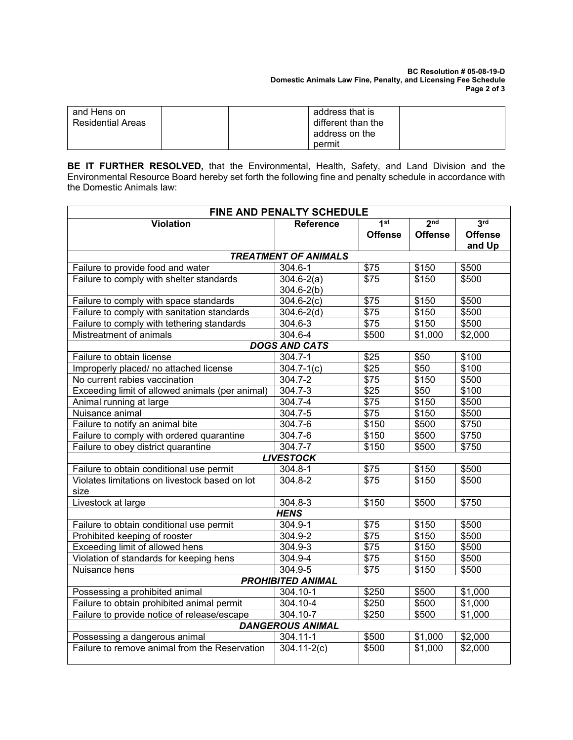| and Hens on              | address that is    |
|--------------------------|--------------------|
| <b>Residential Areas</b> | different than the |
|                          | address on the     |
|                          | permit             |

**BE IT FURTHER RESOLVED,** that the Environmental, Health, Safety, and Land Division and the Environmental Resource Board hereby set forth the following fine and penalty schedule in accordance with the Domestic Animals law:

| <b>FINE AND PENALTY SCHEDULE</b>                |                      |                  |                 |                 |  |  |  |  |
|-------------------------------------------------|----------------------|------------------|-----------------|-----------------|--|--|--|--|
| <b>Violation</b>                                | <b>Reference</b>     | 1 <sup>st</sup>  | 2 <sub>nd</sub> | 3 <sup>rd</sup> |  |  |  |  |
|                                                 |                      | <b>Offense</b>   | <b>Offense</b>  | <b>Offense</b>  |  |  |  |  |
|                                                 |                      |                  |                 | and Up          |  |  |  |  |
| <b>TREATMENT OF ANIMALS</b>                     |                      |                  |                 |                 |  |  |  |  |
| Failure to provide food and water               | 304.6-1              | \$75             | \$150           | \$500           |  |  |  |  |
| Failure to comply with shelter standards        | $304.6 - 2(a)$       | $\overline{$75}$ | \$150           | \$500           |  |  |  |  |
|                                                 | $304.6 - 2(b)$       |                  |                 |                 |  |  |  |  |
| Failure to comply with space standards          | $304.6 - 2(c)$       | \$75             | \$150           | \$500           |  |  |  |  |
| Failure to comply with sanitation standards     | $304.6 - 2(d)$       | \$75             | \$150           | \$500           |  |  |  |  |
| Failure to comply with tethering standards      | 304.6-3              | $\sqrt{$75}$     | \$150           | \$500           |  |  |  |  |
| Mistreatment of animals                         | 304.6-4              | \$500            | \$1,000         | \$2,000         |  |  |  |  |
|                                                 | <b>DOGS AND CATS</b> |                  |                 |                 |  |  |  |  |
| Failure to obtain license                       | 304.7-1              | \$25             | \$50            | \$100           |  |  |  |  |
| Improperly placed/ no attached license          | $304.7 - 1(c)$       | \$25             | \$50            | \$100           |  |  |  |  |
| No current rabies vaccination                   | 304.7-2              | \$75             | \$150           | \$500           |  |  |  |  |
| Exceeding limit of allowed animals (per animal) | 304.7-3              | \$25             | \$50            | \$100           |  |  |  |  |
| Animal running at large                         | 304.7-4              | $\overline{$75}$ | \$150           | \$500           |  |  |  |  |
| Nuisance animal                                 | $304.7 - 5$          | $\overline{$75}$ | \$150           | \$500           |  |  |  |  |
| Failure to notify an animal bite                | 304.7-6              | \$150            | \$500           | \$750           |  |  |  |  |
| Failure to comply with ordered quarantine       | 304.7-6              | \$150            | \$500           | \$750           |  |  |  |  |
| Failure to obey district quarantine             | 304.7-7              | \$150            | \$500           | \$750           |  |  |  |  |
|                                                 | <b>LIVESTOCK</b>     |                  |                 |                 |  |  |  |  |
| Failure to obtain conditional use permit        | $304.8 - 1$          | \$75             | \$150           | \$500           |  |  |  |  |
| Violates limitations on livestock based on lot  | 304.8-2              | $\overline{$75}$ | \$150           | \$500           |  |  |  |  |
| size                                            |                      |                  |                 |                 |  |  |  |  |
| Livestock at large                              | 304.8-3              | \$150            | \$500           | \$750           |  |  |  |  |
|                                                 | <b>HENS</b>          |                  |                 |                 |  |  |  |  |
| Failure to obtain conditional use permit        | $304.9 - 1$          | \$75             | \$150           | \$500           |  |  |  |  |
| Prohibited keeping of rooster                   | 304.9-2              | \$75             | \$150           | \$500           |  |  |  |  |
| Exceeding limit of allowed hens                 | 304.9-3              | \$75             | \$150           | \$500           |  |  |  |  |
| Violation of standards for keeping hens         | 304.9-4              | \$75             | \$150           | \$500           |  |  |  |  |
| Nuisance hens                                   | 304.9-5              | \$75             | \$150           | \$500           |  |  |  |  |
| <b>PROHIBITED ANIMAL</b>                        |                      |                  |                 |                 |  |  |  |  |
| Possessing a prohibited animal                  | 304.10-1             | \$250            | \$500           | \$1,000         |  |  |  |  |
| Failure to obtain prohibited animal permit      | 304.10-4             | \$250            | \$500           | \$1,000         |  |  |  |  |
| Failure to provide notice of release/escape     | $304.10 - 7$         | \$250            | \$500           | \$1,000         |  |  |  |  |
| <b>DANGEROUS ANIMAL</b>                         |                      |                  |                 |                 |  |  |  |  |
| Possessing a dangerous animal                   | 304.11-1             | \$500            | \$1,000         | \$2,000         |  |  |  |  |
| Failure to remove animal from the Reservation   | $304.11 - 2(c)$      | \$500            | \$1,000         | \$2,000         |  |  |  |  |
|                                                 |                      |                  |                 |                 |  |  |  |  |